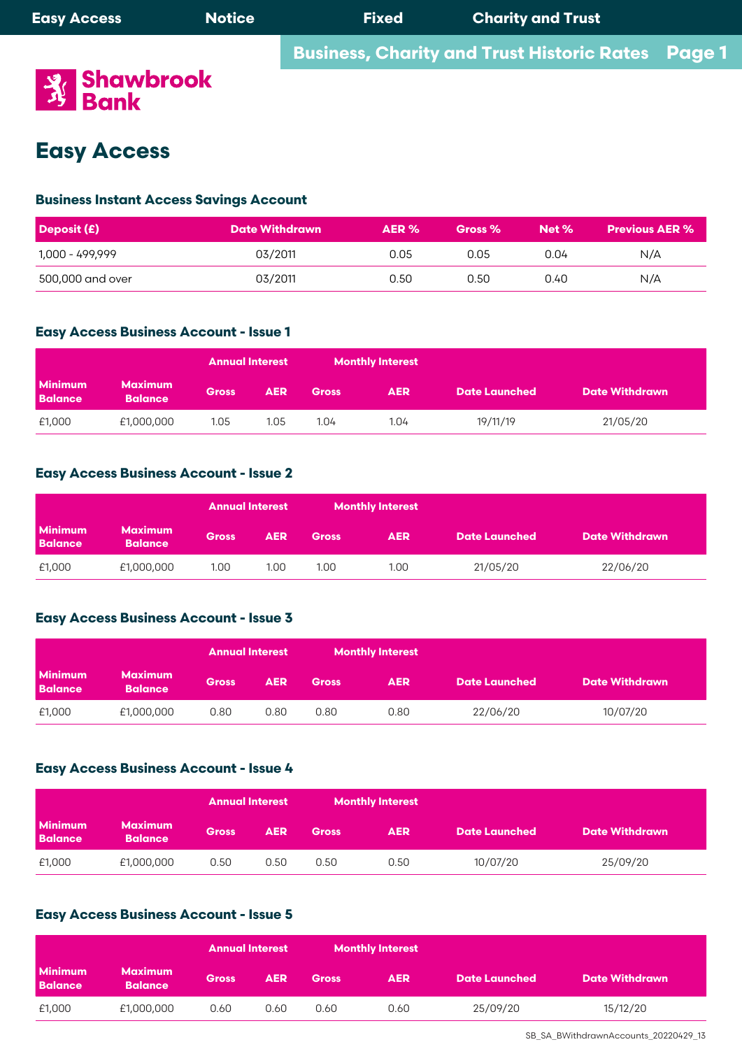

# **Easy Access**

## **Business Instant Access Savings Account**

| $\vert$ Deposit (£) | <b>Date Withdrawn</b> | AER % | Gross % | Net % | <b>Previous AER %</b> |
|---------------------|-----------------------|-------|---------|-------|-----------------------|
| 1,000 - 499,999     | 03/2011               | 0.05  | 0.05    | 0.04  | N/A                   |
| 500,000 and over    | 03/2011               | 0.50  | 0.50    | 0.40  | N/A                   |

### • Interest rates track the Bank of England 'Base Rate' and will be subject to any variation in the 'Base Rate'. **Easy Access Business Account - Issue 1**  $\mathcal{L}$  is calculated credit balances on a daily basis, and credit  $\mathcal{L}$

|                                  |                                  | <b>Annual Interest</b> |            |              | <b>Monthly Interest</b> |                      |                       |
|----------------------------------|----------------------------------|------------------------|------------|--------------|-------------------------|----------------------|-----------------------|
| <b>Minimum</b><br><b>Balance</b> | <b>Maximum</b><br><b>Balance</b> | <b>Gross</b>           | <b>AER</b> | <b>Gross</b> | <b>AER</b>              | <b>Date Launched</b> | <b>Date Withdrawn</b> |
| £1,000                           | £1,000,000                       | 1.05                   | 1.05       | 1.04         | 1.04                    | 19/11/19             | 21/05/20              |

## **Easy Access Business Account - Issue 2**

|                                  |                                  | <b>Annual Interest</b> |            | <b>Monthly Interest</b> |            |                      |                       |
|----------------------------------|----------------------------------|------------------------|------------|-------------------------|------------|----------------------|-----------------------|
| <b>Minimum</b><br><b>Balance</b> | <b>Maximum</b><br><b>Balance</b> | <b>Gross</b>           | <b>AER</b> | <b>Gross</b>            | <b>AER</b> | <b>Date Launched</b> | <b>Date Withdrawn</b> |
| £1,000                           | £1,000,000                       | 1.00                   | 1.00       | 1.00                    | 1.00       | 21/05/20             | 22/06/20              |

## **Easy Access Business Account - Issue 3**

|                                  |                                  | <b>Annual Interest</b> |            | <b>Monthly Interest</b> |            |                      |                       |
|----------------------------------|----------------------------------|------------------------|------------|-------------------------|------------|----------------------|-----------------------|
| <b>Minimum</b><br><b>Balance</b> | <b>Maximum</b><br><b>Balance</b> | <b>Gross</b>           | <b>AER</b> | <b>Gross</b>            | <b>AER</b> | <b>Date Launched</b> | <b>Date Withdrawn</b> |
| £1,000                           | £1,000,000                       | 0.80                   | 0.80       | 0.80                    | 0.80       | 22/06/20             | 10/07/20              |

## **Easy Access Business Account - Issue 4**

|                                  |                           | <b>Annual Interest</b> |            | <b>Monthly Interest</b> |            |                      |                       |
|----------------------------------|---------------------------|------------------------|------------|-------------------------|------------|----------------------|-----------------------|
| <b>Minimum</b><br><b>Balance</b> | Maximum<br><b>Balance</b> | <b>Gross</b>           | <b>AER</b> | <b>Gross</b>            | <b>AER</b> | <b>Date Launched</b> | <b>Date Withdrawn</b> |
| £1,000                           | £1,000,000                | 0.50                   | 0.50       | 0.50                    | 0.50       | 10/07/20             | 25/09/20              |

## **Easy Access Business Account - Issue 5**

|                                  |                                  | <b>Annual Interest</b> |            | <b>Monthly Interest</b> |            |                      |                       |
|----------------------------------|----------------------------------|------------------------|------------|-------------------------|------------|----------------------|-----------------------|
| <b>Minimum</b><br><b>Balance</b> | <b>Maximum</b><br><b>Balance</b> | <b>Gross</b>           | <b>AER</b> | <b>Gross</b>            | <b>AER</b> | <b>Date Launched</b> | <b>Date Withdrawn</b> |
| £1,000                           | £1,000,000                       | 0.60                   | 0.60       | 0.60                    | 0.60       | 25/09/20             | 15/12/20              |

SB\_SA\_BWithdrawnAccounts\_20220429\_13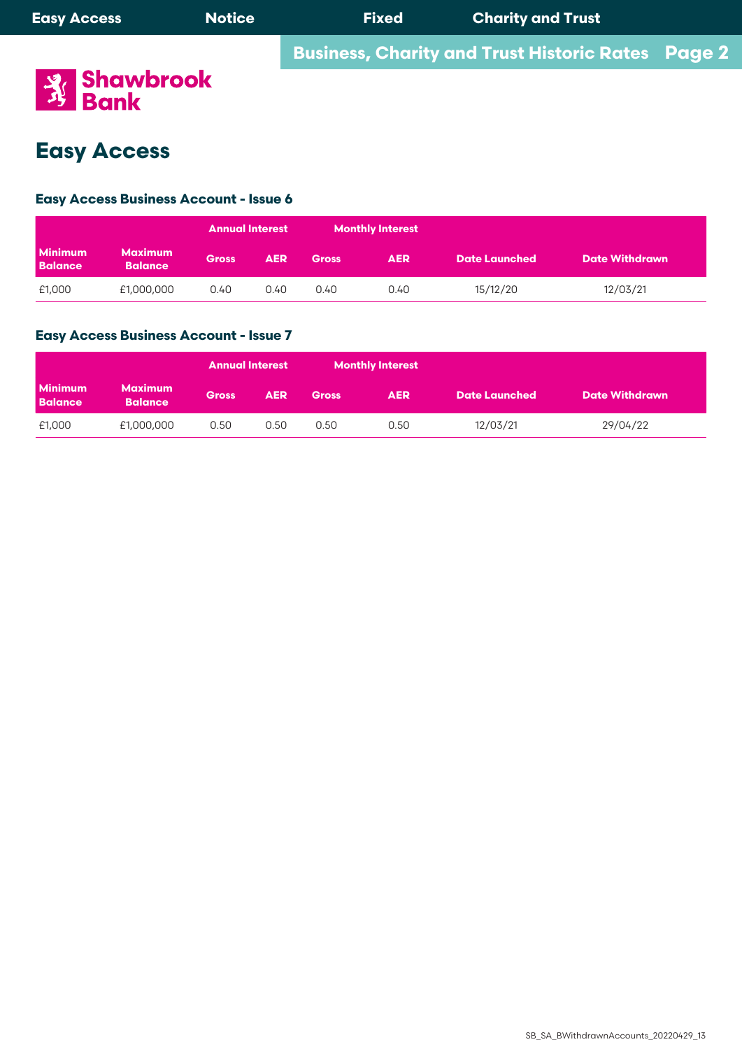

# **Easy Access**

### **Business Instant Access Savings Account Easy Access Business Account - Issue 6**

|                                  |                                  | <b>Annual Interest</b> |            |              | Monthly Interest |                      |                       |
|----------------------------------|----------------------------------|------------------------|------------|--------------|------------------|----------------------|-----------------------|
| <b>Minimum</b><br><b>Balance</b> | <b>Maximum</b><br><b>Balance</b> | <b>Gross</b>           | <b>AER</b> | <b>Gross</b> | <b>AER</b>       | <b>Date Launched</b> | <b>Date Withdrawn</b> |
| £1,000                           | £1,000,000                       | 0.40                   | 0.40       | 0.40         | 0.40             | 15/12/20             | 12/03/21              |

### • Interest rates track the Bank of England 'Base Rate' and will be subject to any variation in the 'Base Rate'. **Easy Access Business Account - Issue 7 Easy Account quarterly on the last 3**

|                                  |                                  | <b>Annual Interest</b> |            | <b>Monthly Interest</b> |            |                      |                       |
|----------------------------------|----------------------------------|------------------------|------------|-------------------------|------------|----------------------|-----------------------|
| <b>Minimum</b><br><b>Balance</b> | <b>Maximum</b><br><b>Balance</b> | <b>Gross</b>           | <b>AER</b> | <b>Gross</b>            | <b>AER</b> | <b>Date Launched</b> | <b>Date Withdrawn</b> |
| £1,000                           | £1,000,000                       | 0.50                   | 0.50       | 0.50                    | 0.50       | 12/03/21             | 29/04/22              |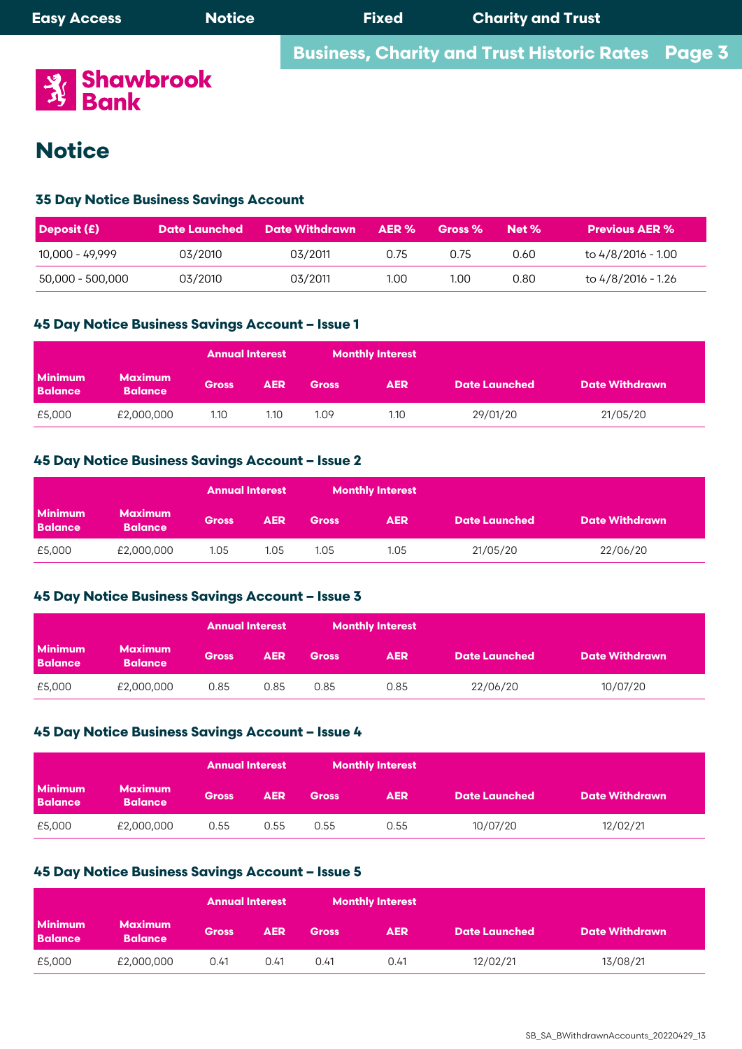

## **35 Day Notice Business Savings Account**

| <b>Deposit (£)</b> |         | Date Launched Date Withdrawn | AER % | Gross % | Net % | <b>Previous AER %</b> |
|--------------------|---------|------------------------------|-------|---------|-------|-----------------------|
| 10,000 - 49,999    | 03/2010 | 03/2011                      | 0.75  | 0.75    | 0.60  | to 4/8/2016 - 1.00    |
| 50,000 - 500,000   | 03/2010 | 03/2011                      | 1.00  | 1.00    | 0.80  | to 4/8/2016 - 1.26    |

## withdrawals may be made without notice on payment of a penalty of 14 days interest of the amount withdrawn. **45 Day Notice Business Savings Account – Issue 1**

|                                  |                                  | <b>Annual Interest</b> |            | <b>Monthly Interest</b> |            |                      |                       |
|----------------------------------|----------------------------------|------------------------|------------|-------------------------|------------|----------------------|-----------------------|
| <b>Minimum</b><br><b>Balance</b> | <b>Maximum</b><br><b>Balance</b> | <b>Gross</b>           | <b>AER</b> | <b>Gross</b>            | <b>AER</b> | <b>Date Launched</b> | <b>Date Withdrawn</b> |
| £5,000                           | £2,000,000                       | 1.10                   | 1.10       | 1.09                    | 1.10       | 29/01/20             | 21/05/20              |

# **Deposit (£) Date Launched Date Withdrawn AER % Gross % Net % Previous AER % 45 Day Notice Business Savings Account – Issue 2**

|                                  |                                  | <b>Annual Interest</b> |            |              | <b>Monthly Interest</b> |                      |                       |
|----------------------------------|----------------------------------|------------------------|------------|--------------|-------------------------|----------------------|-----------------------|
| <b>Minimum</b><br><b>Balance</b> | <b>Maximum</b><br><b>Balance</b> | <b>Gross</b>           | <b>AER</b> | <b>Gross</b> | <b>AER</b>              | <b>Date Launched</b> | <b>Date Withdrawn</b> |
| £5,000                           | £2,000,000                       | 1.05                   | 1.05       | 1.05         | 1.05                    | 21/05/20             | 22/06/20              |

# • Interest is calculated on cleared credit balances on a daily basis, and credited to the account annually on 31st December. **45 Day Notice Business Savings Account – Issue 3**

|                                  |                                  | <b>Annual Interest</b> |            | <b>Monthly Interest</b> |            |                      |                       |
|----------------------------------|----------------------------------|------------------------|------------|-------------------------|------------|----------------------|-----------------------|
| <b>Minimum</b><br><b>Balance</b> | <b>Maximum</b><br><b>Balance</b> | <b>Gross</b>           | <b>AER</b> | <b>Gross</b>            | <b>AER</b> | <b>Date Launched</b> | <b>Date Withdrawn</b> |
| £5,000                           | £2,000,000                       | 0.85                   | 0.85       | 0.85                    | 0.85       | 22/06/20             | 10/07/20              |
|                                  |                                  |                        |            |                         |            |                      |                       |

# 45 Day Notice Business Savings Account – Issue 4

|                                  |                                  | <b>Annual Interest</b> |            | <b>Monthly Interest</b> |            |                      |                       |  |
|----------------------------------|----------------------------------|------------------------|------------|-------------------------|------------|----------------------|-----------------------|--|
| <b>Minimum</b><br><b>Balance</b> | <b>Maximum</b><br><b>Balance</b> | <b>Gross</b>           | <b>AER</b> | <b>Gross</b>            | <b>AER</b> | <b>Date Launched</b> | <b>Date Withdrawn</b> |  |
| £5,000                           | £2,000,000                       | 0.55                   | 0.55       | 0.55                    | 0.55       | 10/07/20             | 12/02/21              |  |

## **45 Day Notice Business Savings Account – Issue 5**1st December. Annually on 31st December. Annual ly on 31st December.

|                                  |                                  | <b>Annual Interest</b> |            |              | <b>Monthly Interest</b> |                      |                       |
|----------------------------------|----------------------------------|------------------------|------------|--------------|-------------------------|----------------------|-----------------------|
| <b>Minimum</b><br><b>Balance</b> | <b>Maximum</b><br><b>Balance</b> | <b>Gross</b>           | <b>AER</b> | <b>Gross</b> | <b>AER</b>              | <b>Date Launched</b> | <b>Date Withdrawn</b> |
| £5,000                           | £2,000,000                       | 0.41                   | 0.41       | 0.41         | 0.41                    | 12/02/21             | 13/08/21              |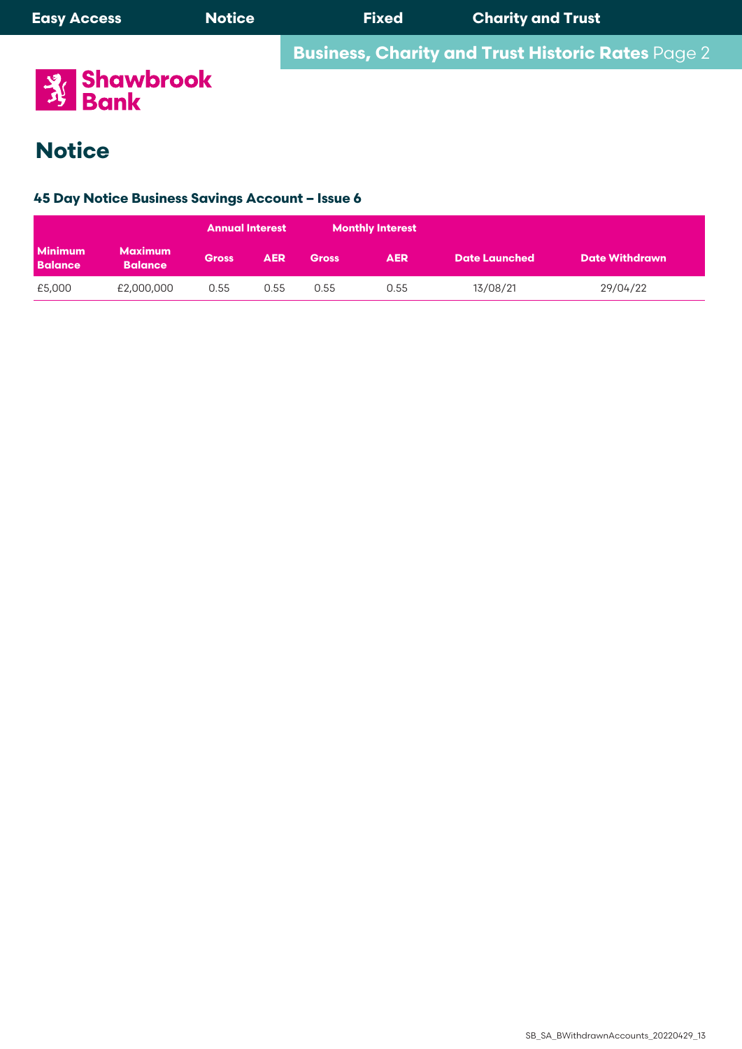

# **35 Day Notice Business Savings Account 45 Day Notice Business Savings Account – Issue 6**

|                                  |                                  | <b>Annual Interest</b> |            |              | <b>Monthly Interest</b> |                      |                       |
|----------------------------------|----------------------------------|------------------------|------------|--------------|-------------------------|----------------------|-----------------------|
| <b>Minimum</b><br><b>Balance</b> | <b>Maximum</b><br><b>Balance</b> | <b>Gross</b>           | <b>AER</b> | <b>Gross</b> | <b>AER</b>              | <b>Date Launched</b> | <b>Date Withdrawn</b> |
| £5,000                           | £2,000,000                       | 0.55                   | 0.55       | 0.55         | 0.55                    | 13/08/21             | 29/04/22              |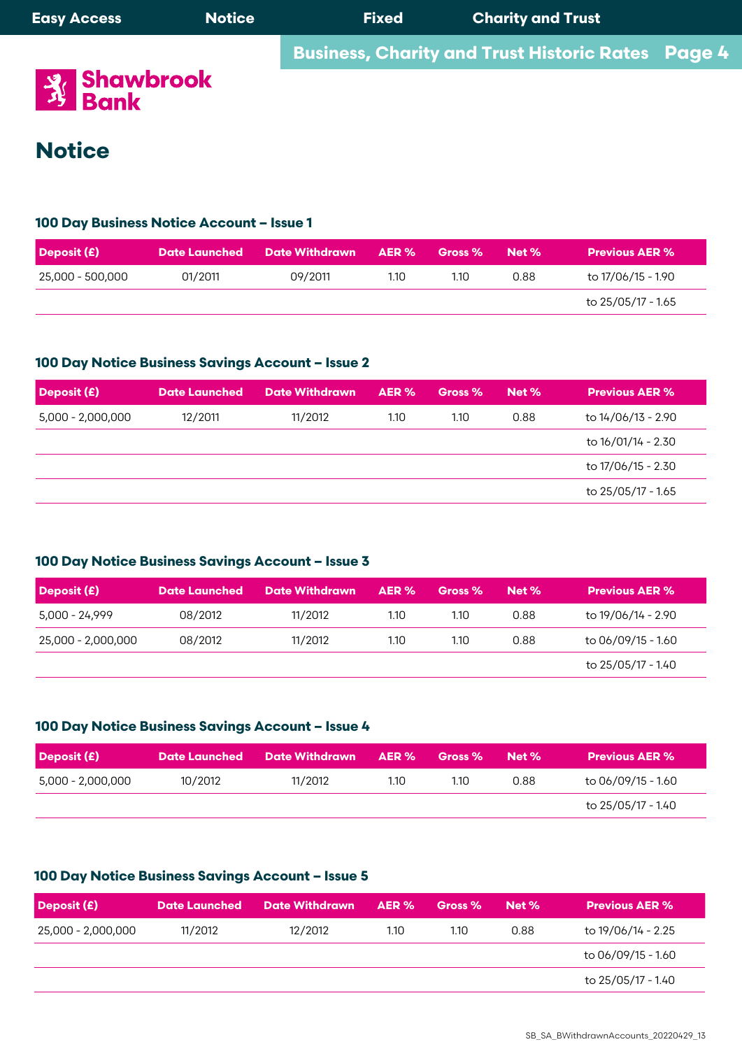| <b>Easy Access</b> | <b>Notice</b> | <b>Fixed</b> | <b>Charity and Trust</b>                                 |  |
|--------------------|---------------|--------------|----------------------------------------------------------|--|
|                    |               |              | <b>Business, Charity and Trust Historic Rates</b> Page 4 |  |
| <b>Brandbrook</b>  |               |              |                                                          |  |

 $\mathbf{S}^{\mathrm{P}}$  is a notice account with drawals can only be made by providing 35 days notice in writing. At the Bank's discretion  $\mathbf{S}^{\mathrm{P}}$ 

with drawals may be made with notice on payment of  $14$  days interest of 14 days interest of the amount with  $\alpha$ 

#### **Interest is calculated on cleared on cleared credit balances on a daily basis and applied monthly on the last ca**  $\overline{\phantom{a}}$ **Deposit (£) Date Launched Date Withdrawn AER % Gross % Net % Previous AER %**

# **Deposit (£) Date Launched Date Withdrawn AER % Gross % Net % Previous AER % 100 Day Business Notice Account – Issue 1**

| Deposit (£)      |         | Date Launched Date Withdrawn | AER % | <b>Gross</b> % | Net % | <b>Previous AER %</b> |
|------------------|---------|------------------------------|-------|----------------|-------|-----------------------|
| 25,000 - 500,000 | 01/2011 | 09/2011                      | 1.10  | 1.10           | 0.88  | to 17/06/15 - 1.90    |
|                  |         |                              |       |                |       | to 25/05/17 - 1.65    |

#### $\sim$  Interest is calculated on cleared credit balances on a daily balance  $\sim$  $\cdots$  statements are in 100 Day Notice Business Savings Account – Issue 2<br>**Notain 20 Days 20 Days 20 Days 20 Days 20 Days 20 Days 20 Days 20 Days 20 Days 20 Days 20 Days 20 D**

| Deposit (£)       | <b>Date Launched</b> | <b>Date Withdrawn</b> | AER % | Gross % | Net% | <b>Previous AER %</b> |
|-------------------|----------------------|-----------------------|-------|---------|------|-----------------------|
| 5,000 - 2,000,000 | 12/2011              | 11/2012               | 1.10  | 1.10    | 0.88 | to 14/06/13 - 2.90    |
|                   |                      |                       |       |         |      | to 16/01/14 - 2.30    |
|                   |                      |                       |       |         |      | to 17/06/15 - 2.30    |
|                   |                      |                       |       |         |      | to 25/05/17 - 1.65    |

#### $\bf 100$  Day Notice Business Savinas Account – Issue  $\bf 3$ Accounts. Accounts. 100 Day Notice Business Savings Account – Issue 3

| <b>Deposit (£)</b> | <b>Date Launched</b> | Date Withdrawn | AER % | Gross % | Net % | <b>Previous AER %</b> |
|--------------------|----------------------|----------------|-------|---------|-------|-----------------------|
| 5,000 - 24,999     | 08/2012              | 11/2012        | 1.10  | 1.10    | 0.88  | to 19/06/14 - 2.90    |
| 25,000 - 2,000,000 | 08/2012              | 11/2012        | 1.10  | 1.10    | 0.88  | to 06/09/15 - 1.60    |
|                    |                      |                |       |         |       | to 25/05/17 - 1.40    |

#### $100$  Day Notice Business Savinas Account – Issue  $\boldsymbol{L}$ **100 Day Notice Business Savings Account – Issue 4**

• No cash deposits or cash withdrawals are available.

| Deposit $(E)$     |         | Date Launched Date Withdrawn AER % |      | Gross % | Net % | <b>Previous AER %</b> |
|-------------------|---------|------------------------------------|------|---------|-------|-----------------------|
| 5,000 - 2,000,000 | 10/2012 | 11/2012                            | 1.10 | 1.10    | 0.88  | to 06/09/15 - 1.60    |
|                   |         |                                    |      |         |       | to 25/05/17 - 1.40    |
|                   |         |                                    |      |         |       |                       |

### 100 Day Notice Business Savinas Account – Issue 5<br>100 Day Notice Business Savinas Account – Issue 5 **100 Day Notice Business Savings Account – Issue 5**

| Deposit (£)        | <b>Date Launched</b> | Date Withdrawn | AER % | Gross % | Net % | <b>Previous AER %</b> |
|--------------------|----------------------|----------------|-------|---------|-------|-----------------------|
| 25,000 - 2,000,000 | 11/2012              | 12/2012        | 1.10  | 1.10    | 0.88  | to 19/06/14 - 2.25    |
|                    |                      |                |       |         |       | to 06/09/15 - 1.60    |
|                    |                      |                |       |         |       | to 25/05/17 - 1.40    |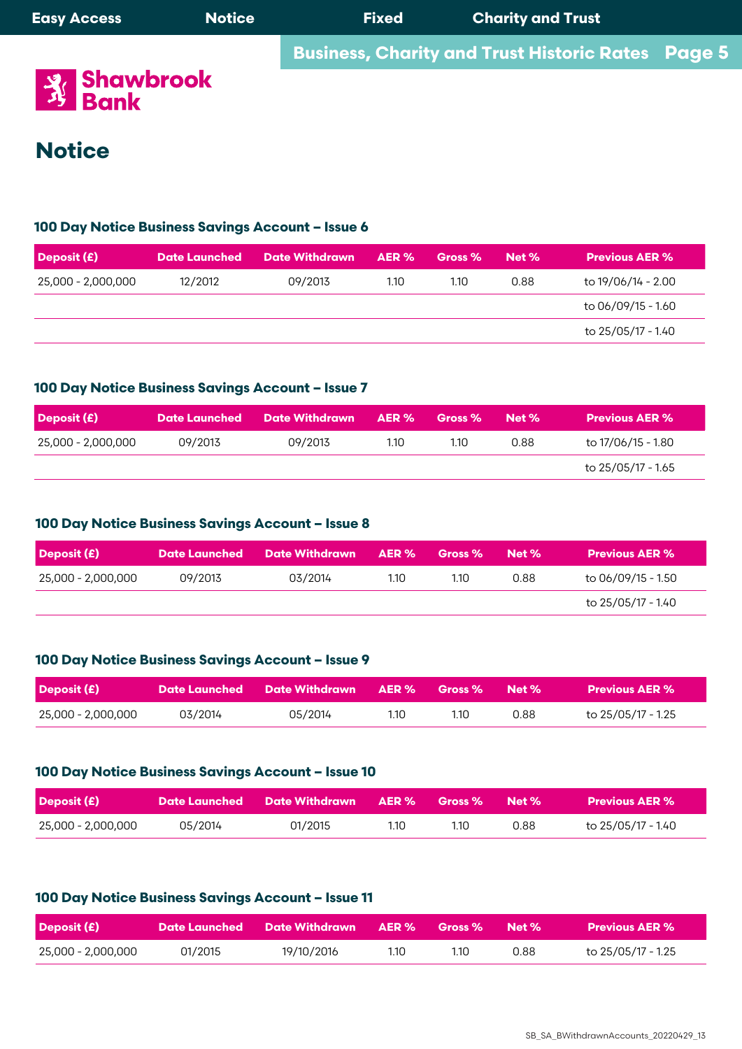| <b>Easy Access</b>             | <b>Notice</b> | <b>Fixed</b> | <b>Charity and Trust</b>                                 |  |
|--------------------------------|---------------|--------------|----------------------------------------------------------|--|
|                                |               |              | <b>Business, Charity and Trust Historic Rates</b> Page 5 |  |
| <b>All Shawbrook</b><br>少 Bank |               |              |                                                          |  |

# **Notice** once a year on 31st December. **Deposit (£) Date Launched Date Withdrawn AER % Gross % Net % Previous AER %**

# 100 Day Notice Business Savings Account – Issue 6

**100 Day Notice Business Savings Account – Issue 6**

| Deposit (£)        | <b>Date Launched</b> | <b>Date Withdrawn</b> | AER % | Gross % | Net % | <b>Previous AER %</b> |
|--------------------|----------------------|-----------------------|-------|---------|-------|-----------------------|
| 25,000 - 2,000,000 | 12/2012              | 09/2013               | 1.10  | 1.10    | 0.88  | to 19/06/14 - 2.00    |
|                    |                      |                       |       |         |       | to 06/09/15 - 1.60    |
|                    |                      |                       |       |         |       | to 25/05/17 - 1.40    |

#### iuu Day Notice Business Savings Account – issue 7 100 Day Notice Business Savings Account – Issue 7 **Business, Charity and Trust Historic Rates** Page 5

| Deposit (£)        |         | Date Launched Date Withdrawn AER % |      | Gross %           | Net % | <b>Previous AER %</b> |
|--------------------|---------|------------------------------------|------|-------------------|-------|-----------------------|
| 25,000 - 2,000,000 | 09/2013 | 09/2013                            | 1.10 | 1.10 <sub>1</sub> | 0.88  | to 17/06/15 - 1.80    |
|                    |         |                                    |      |                   |       | to 25/05/17 - 1.65    |

#### loo Day Notice Dusiness Suvings Account - issue o 100 Day Notice Business Savings Account – Issue 8

| <b>Deposit (£)</b> |         | Date Launched Date Withdrawn AER % |  | Gross %           | Net % | <b>Previous AER %</b> |
|--------------------|---------|------------------------------------|--|-------------------|-------|-----------------------|
| 25,000 - 2,000,000 | 09/2013 | 03/2014                            |  | 1.10 <sub>1</sub> | 0.88  | to 06/09/15 - 1.50    |
|                    |         |                                    |  |                   |       | to 25/05/17 - 1.40    |

#### 100 Day Notice Business Savinas Account – Issue 9 once a year on 31st December and at closure of your account. shawbrook.co.uk • The interest rate is variable and may be altered in accordance with our terms and conditions for Business Savings 100 Day Notice Business Savings Account – Issue 9

|                      |                       |       |                                                   |       | to 25/05/17 - 1.40    |
|----------------------|-----------------------|-------|---------------------------------------------------|-------|-----------------------|
|                      |                       |       |                                                   |       |                       |
| <b>Date Launched</b> | <b>Date Withdrawn</b> | AER % | Gross %                                           | Net % | <b>Previous AER %</b> |
| 03/2014              | 05/2014               | 1.10  | 1.10                                              | 0.88  | to 25/05/17 - 1.25    |
|                      |                       |       | 100 Day Notice Business Savings Account - Issue 9 |       |                       |

#### 100 Day Notice Business Savings Account - Issue 10 100 Day Notice Business Savings Account – Issue 10

| <b>Deposit (£)</b> |         | Date Launched       Date Withdrawn       AER %       Gross %       Net % . |      |      |      | <b>Previous AER %</b> |
|--------------------|---------|----------------------------------------------------------------------------|------|------|------|-----------------------|
| 25,000 - 2,000,000 | 05/2014 | 01/2015                                                                    | 1.10 | 1.10 | 0.88 | to 25/05/17 - 1.40    |

#### fou Day Notice basiness savings Account – issue Ti • Interest is calculated on your cleared daily balance every day of the year (not just business days). We pay you the interest **100 Day Notice Business Savings Account – Issue 11**

| <b>Deposit (£)</b> |         | Date Launched Date Withdrawn AER % Gross % Net % |      |      |      | <b>Previous AER %</b> |
|--------------------|---------|--------------------------------------------------|------|------|------|-----------------------|
| 25,000 - 2,000,000 | 01/2015 | 19/10/2016                                       | 1.10 | 1.10 | 0.88 | to 25/05/17 - 1.25    |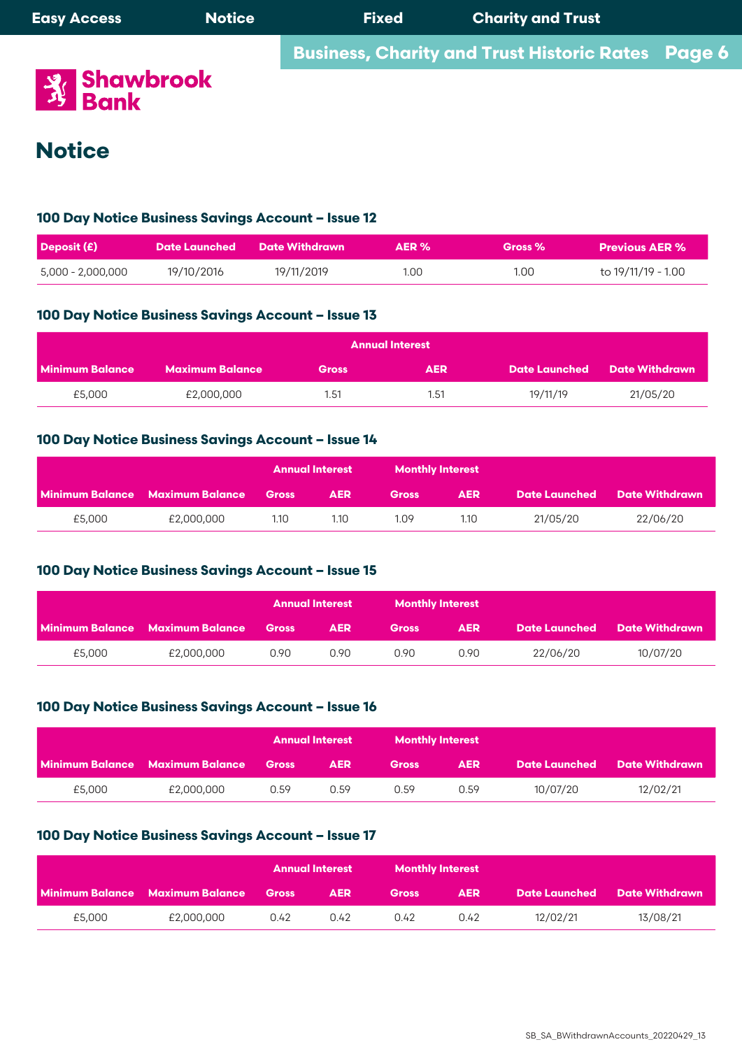

## **100 Day Notice Business Savings Account – Issue 12**

| Deposit (£)       |            | Date Launched Date Withdrawn | AER % | Gross % | <b>Previous AER %</b> |
|-------------------|------------|------------------------------|-------|---------|-----------------------|
| 5,000 - 2,000,000 | 19/10/2016 | 19/11/2019                   | 1.00  | 1.00    | to 19/11/19 - 1.00    |

## **100 Day Notice Business Savings Account - Issue 13**

| <b>Annual Interest</b> |                 |              |            |          |                              |  |  |  |  |
|------------------------|-----------------|--------------|------------|----------|------------------------------|--|--|--|--|
| Minimum Balance        | Maximum Balance | <b>Gross</b> | <b>AER</b> |          | Date Launched Date Withdrawn |  |  |  |  |
| £5,000                 | £2,000,000      | 1.51         | 1.51       | 19/11/19 | 21/05/20                     |  |  |  |  |

### **100 Day Notice Business Savings Account – Issue 14**

|        |                                       |      | Annual Interest | <b>Monthly Interest</b> |            |          |                                     |  |
|--------|---------------------------------------|------|-----------------|-------------------------|------------|----------|-------------------------------------|--|
|        | Minimum Balance Maximum Balance Gross |      | <b>AER</b>      | <b>Gross</b>            | <b>AER</b> |          | <b>Date Launched</b> Date Withdrawn |  |
| £5,000 | £2,000,000                            | 1.10 | 1.10            | 1.09                    | 1.10       | 21/05/20 | 22/06/20                            |  |

## **100 Day Notice Business Savings Account – Issue 15**

|        |                                              |      | <b>Annual Interest</b> | <b>Monthly Interest</b> |            |          |                              |  |
|--------|----------------------------------------------|------|------------------------|-------------------------|------------|----------|------------------------------|--|
|        | <b>Minimum Balance Maximum Balance Gross</b> |      | <b>AER</b>             | <b>Gross</b>            | <b>AER</b> |          | Date Launched Date Withdrawn |  |
| £5,000 | £2,000,000                                   | 0.90 | 0.90                   | 0.90                    | 0.90       | 22/06/20 | 10/07/20                     |  |

### **100 Day Notice Business Savings Account – Issue 16**

|        |                                       |      | <b>Annual Interest</b> | <b>Monthly Interest</b> |            |          |                                     |  |
|--------|---------------------------------------|------|------------------------|-------------------------|------------|----------|-------------------------------------|--|
|        | Minimum Balance Maximum Balance Gross |      | <b>AER</b>             | <b>Gross</b>            | <b>AER</b> |          | <b>Date Launched</b> Date Withdrawn |  |
| £5,000 | £2,000,000                            | 0.59 | 0.59                   | 0.59                    | 0.59       | 10/07/20 | 12/02/21                            |  |

### **100 Day Notice Business Savings Account – Issue 17**

|        |                                        |              | <b>Annual Interest</b> | <b>Monthly Interest</b> |            |          |                                     |  |
|--------|----------------------------------------|--------------|------------------------|-------------------------|------------|----------|-------------------------------------|--|
|        | <b>Minimum Balance Maximum Balance</b> | <b>Gross</b> | <b>AER</b>             | <b>Gross</b>            | <b>AER</b> |          | <b>Date Launched Date Withdrawn</b> |  |
| £5,000 | £2,000,000                             | 0.42         | 0.42                   | 0.42                    | 0.42       | 12/02/21 | 13/08/21                            |  |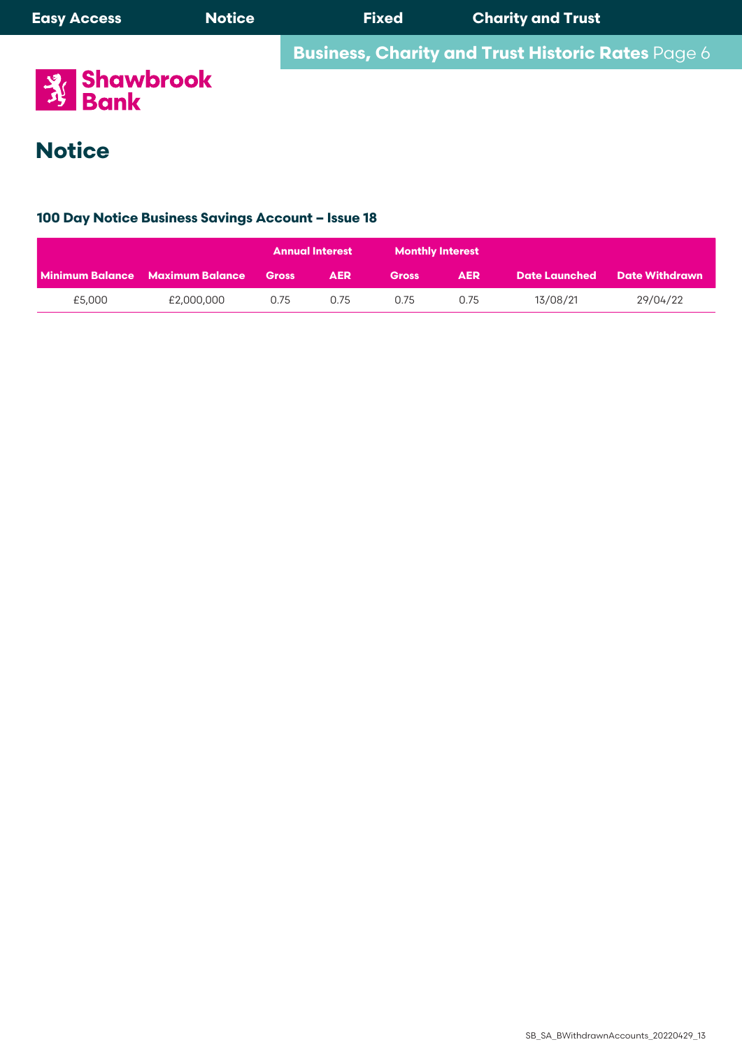

### **Deposit (£) Date Launched Date Withdrawn AER % Gross % Net % Previous AER % 100 Day Notice Business Savings Account – Issue 18**

|        |                                 |              | <b>Annual Interest</b> | <b>Monthly Interest</b> |            |          |                              |
|--------|---------------------------------|--------------|------------------------|-------------------------|------------|----------|------------------------------|
|        | Minimum Balance Maximum Balance | <b>Gross</b> | <b>AER</b>             | <b>Gross</b>            | <b>AER</b> |          | Date Launched Date Withdrawn |
| £5,000 | £2,000,000                      | 0.75         | 0.75                   | 0.75                    | 0.75       | 13/08/21 | 29/04/22                     |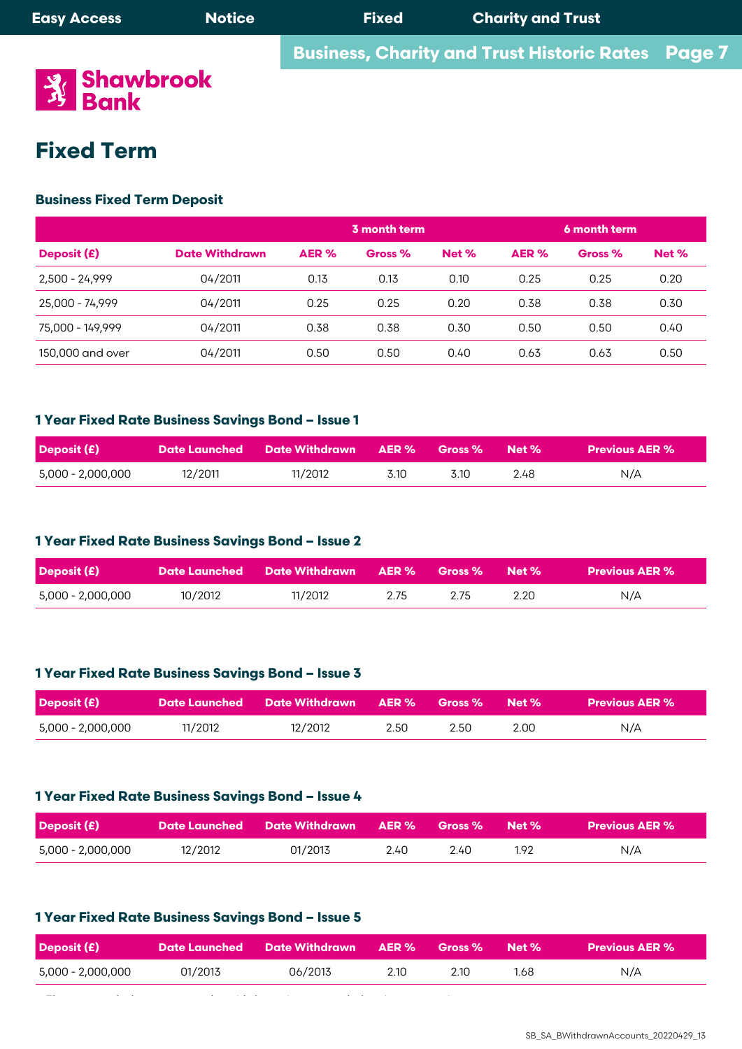**Business, Charity and Trust Historic Rates** 



# **Fixed Term** 25,000 - 74,999 04/2011 0.25 0.25 0.20 0.38 0.38 0.30

# **Business Fixed Term Deposit** 2,500 - 24,999 04/2011 0.13 0.13 0.10 0.25 0.25 0.20 150,000 and over 04/2011 0.50 0.50 0.40 0.63 0.63 0.50

|                  |                       |       | 3 month term |       | 6 month term |         |       |  |
|------------------|-----------------------|-------|--------------|-------|--------------|---------|-------|--|
| Deposit (£)      | <b>Date Withdrawn</b> | AER % | Gross %      | Net % | AER %        | Gross % | Net % |  |
| 2,500 - 24,999   | 04/2011               | 0.13  | 0.13         | 0.10  | 0.25         | 0.25    | 0.20  |  |
| 25,000 - 74,999  | 04/2011               | 0.25  | 0.25         | 0.20  | 0.38         | 0.38    | 0.30  |  |
| 75,000 - 149,999 | 04/2011               | 0.38  | 0.38         | 0.30  | 0.50         | 0.50    | 0.40  |  |
| 150,000 and over | 04/2011               | 0.50  | 0.50         | 0.40  | 0.63         | 0.63    | 0.50  |  |

# 1 Year Fixed Rate Business Savings Bond – Issue 1

| Deposit (£)       |         |  |      |       |      | <b>Previous AER %</b> |
|-------------------|---------|--|------|-------|------|-----------------------|
| 5,000 - 2,000,000 | 12/2011 |  | 3.10 | 3.10. | 2.48 | N/A                   |

#### $\frac{1}{2}$ **1 Year Fixed Rate Business Savings Bond – Issue 2**  $\frac{1}{2}$ ,000  $\frac{1}{2}$ ,000  $\frac{1}{2}$

| <b>Deposit (£)</b> |         | 「Date Launched   Date Withdrawn   AER %   Gross %   Net % , |      |      |      | <b>Previous AER %</b> |
|--------------------|---------|-------------------------------------------------------------|------|------|------|-----------------------|
| 5,000 - 2,000,000  | 10/2012 | 11/2012                                                     | 2.75 | 2.75 | 2.20 | N/A                   |

# 1 Year Fixed Rate Business Savings Bond – Issue 3

| <b>Deposit (£)</b> |         | 「Date Launched   Date Withdrawn   AER %   Gross %   Net % ; |      |      |      | <b>Previous AER %</b> |  |
|--------------------|---------|-------------------------------------------------------------|------|------|------|-----------------------|--|
| 5,000 - 2,000,000  | 11/2012 | 12/2012                                                     | 2.50 | 2.50 | 2.00 | N/A                   |  |

#### $\boldsymbol{v} = \boldsymbol{v}$  and  $\boldsymbol{v} = \boldsymbol{v}$  are  $\boldsymbol{v} = \boldsymbol{v}$  the  $\boldsymbol{v} = \boldsymbol{v}$  of the interest day of the interest  $\boldsymbol{v}$ 1 Year Fixed Rate Business Savings Bond – Issue 4

| <b>Deposit (£)</b> | <u> / Date Launched       Date Withdrawn       AER %       Gross %       Net %  </u> |         |      |      |      | Previous AER % |
|--------------------|--------------------------------------------------------------------------------------|---------|------|------|------|----------------|
| 5,000 - 2,000,000  | 12/2012                                                                              | 01/2013 | ን 4በ | 2 40 | 1.92 | N/A            |

#### $\mathbb{R}$ : savings  $\mathbb{R}$  satisfies  $\mathbb{R}$ 1 Year Fixed Rate Business Savings Bond – Issue 5 1 Ye<mark>ar Fixed Rate Business Savings Bond – Issue 5</mark>

| Deposit (£)       |         |         |      |      |      | <b>Previous AER %</b> |  |
|-------------------|---------|---------|------|------|------|-----------------------|--|
| 5,000 - 2,000,000 | 01/2013 | 06/2013 | 2.10 | 2.10 | 1.68 | N/A                   |  |

**Page 7**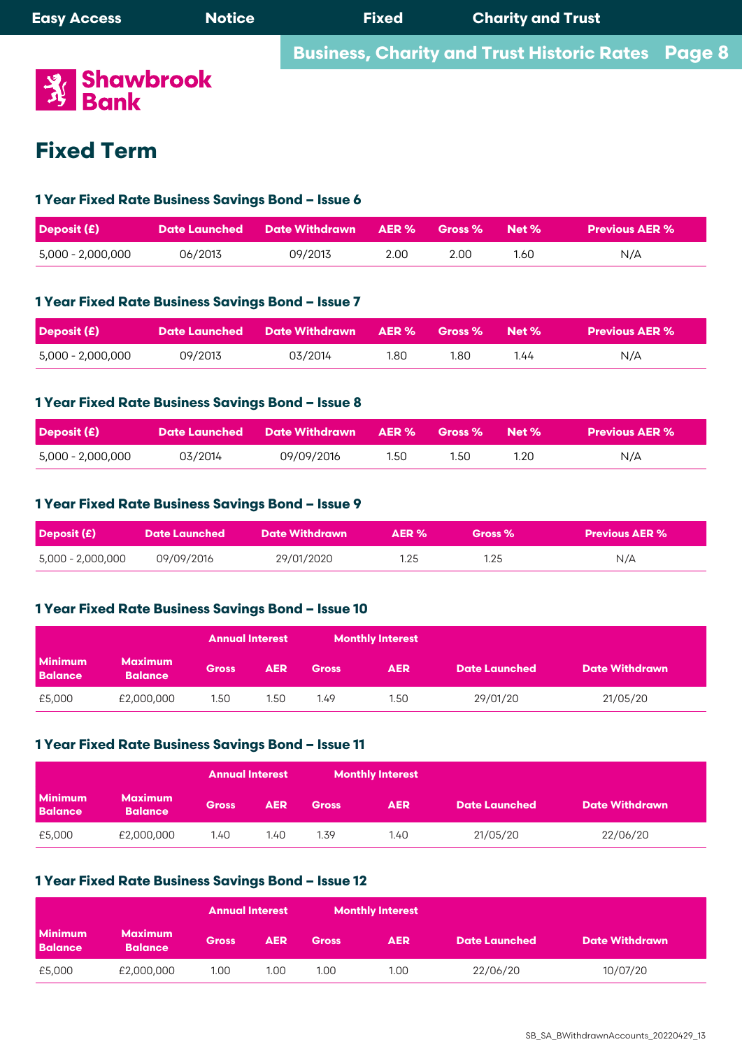

# **Fixed Term 2000 - 2,000,000 06/2013 2.00 N/A**

#### <mark>1 Year Fixed Rate Business Savings Bond – Issue 6</mark>  $\mathbf{r}$  is calculated on your cleared daily balance every day of the year (not just business days). We pay you the interest days **1 Year Fixed Rate Business Savings Bond – Issue 7**

| Deposit $(E)$     |         | Date Launched Date Withdrawn AER % |      | <b>Gross %</b> Net % |      | <b>Previous AER %</b> |
|-------------------|---------|------------------------------------|------|----------------------|------|-----------------------|
| 5,000 - 2,000,000 | 06/2013 | 09/2013                            | 2.00 | 2.00                 | 1.60 | N/A                   |

### <mark>1 Year Fixed Rate Business Savings Bond – Issue 7</mark>  $\mathbf{r}$  is calculated on your cleared day of the year (not  $\mathbf{r}$ ).

| <b>Deposit (£)</b> |         | Date Launched Date Withdrawn AER % Gross % Net % |      |      |      | Previous AER % \ |
|--------------------|---------|--------------------------------------------------|------|------|------|------------------|
| 5,000 - 2,000,000  | 09/2013 | 03/2014                                          | 1.80 | 1.80 | 1.44 | N/A              |

# **1 Year Fixed Rate Business Savings Bond – Issue 7** • Interest rate fixed for 1 year term. **1 Year Fixed Rate Business Savings Bond – Issue 8**

| <b>Deposit (£)</b> |         | Date Launched        Date Withdrawn       AER %       Gross % |      |      | Net % | <b>Previous AER %</b> |
|--------------------|---------|---------------------------------------------------------------|------|------|-------|-----------------------|
| 5,000 - 2,000,000  | 03/2014 | 09/09/2016                                                    | 1.50 | 1.50 | 1.20  | N/A                   |

# <mark>1 Year Fixed Rate Business Savings Bond – Issue 9</mark>

| Deposit (£)                     | <b>Date Launched</b> | <b>Date Withdrawn</b> | $\triangle$ ER % | Gross % | Previous AER % |  |
|---------------------------------|----------------------|-----------------------|------------------|---------|----------------|--|
| 09/09/2016<br>5,000 - 2,000,000 |                      | 29/01/2020            | 1.25             | 1.25    | N/A            |  |

# **1 Year Fixed Rate Business Savings Bond – Issue 8** • Interest rate fixed for 1 year term. **1 Year Fixed Rate Business Savings Bond – Issue 10**

|                                  |                                  | <b>Annual Interest</b> |            |              | <b>Monthly Interest</b> |                      |                       |
|----------------------------------|----------------------------------|------------------------|------------|--------------|-------------------------|----------------------|-----------------------|
| <b>Minimum</b><br><b>Balance</b> | <b>Maximum</b><br><b>Balance</b> | <b>Gross</b>           | <b>AER</b> | <b>Gross</b> | <b>AER</b>              | <b>Date Launched</b> | <b>Date Withdrawn</b> |
| £5,000                           | £2,000,000                       | 1.50                   | 1.50       | 1.49         | 1.50                    | 29/01/20             | 21/05/20              |

#### $\bullet$   $\bullet$   $\bullet$   $\bullet$  is calculated on  $\bullet$   $\bullet$   $\bullet$  . We pay you the interest days days days days of the interest days of the interest days of the interest days of the interest days of the interest days of the interest da <mark>1 Year Fixed Rate Business Savings Bond – Issue 11</mark>

|                                  |                                  | <b>Annual Interest</b> |            |              | <b>Monthly Interest</b> |                      |                       |
|----------------------------------|----------------------------------|------------------------|------------|--------------|-------------------------|----------------------|-----------------------|
| <b>Minimum</b><br><b>Balance</b> | <b>Maximum</b><br><b>Balance</b> | <b>Gross</b>           | <b>AER</b> | <b>Gross</b> | <b>AER</b>              | <b>Date Launched</b> | <b>Date Withdrawn</b> |
| £5,000                           | £2,000,000                       | 1.40                   | 1.40       | 1.39         | 1.40                    | 21/05/20             | 22/06/20              |

#### **Exage Data Busings** 1 Ye<mark>ar Fixed Rate Business Savings Bond – Issue 12</mark>

| <b>Monthly Interest</b><br><b>Annual Interest</b> |                                  |              |            |              |            |                      |                       |
|---------------------------------------------------|----------------------------------|--------------|------------|--------------|------------|----------------------|-----------------------|
| <b>Minimum</b><br><b>Balance</b>                  | <b>Maximum</b><br><b>Balance</b> | <b>Gross</b> | <b>AER</b> | <b>Gross</b> | <b>AER</b> | <b>Date Launched</b> | <b>Date Withdrawn</b> |
| £5,000                                            | £2,000,000                       | 1.00         | 1.00       | 1.00         | 1.00       | 22/06/20             | 10/07/20              |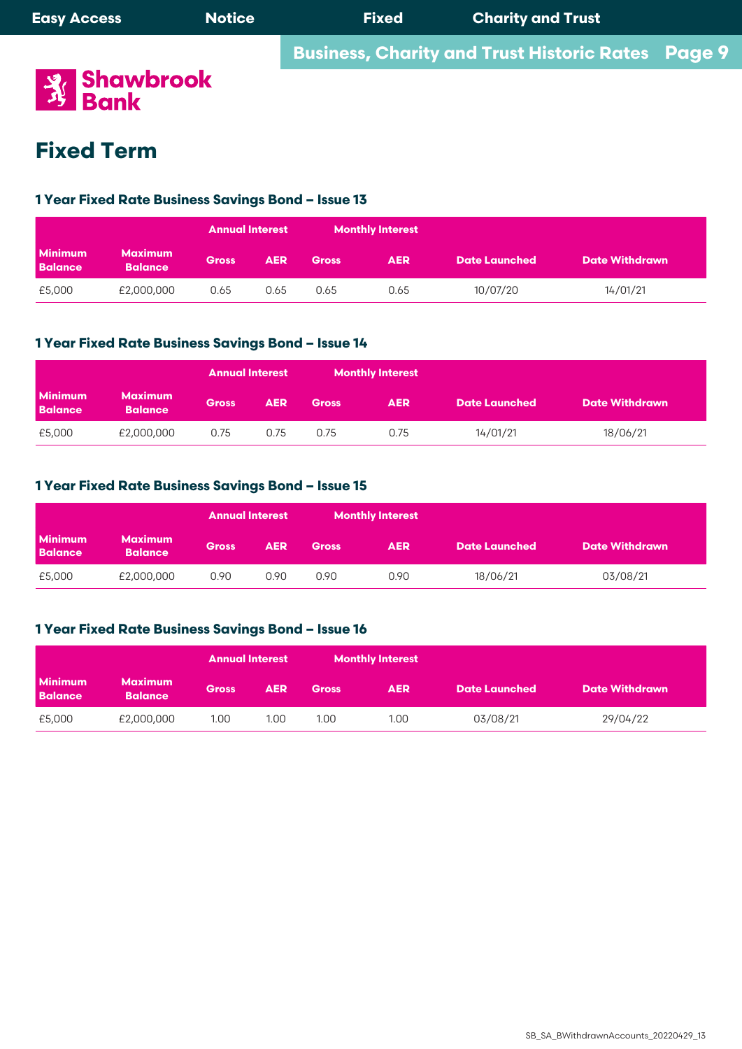**Business, Charity and Trust Historic Rates** Page 9 **Page 9**



# **Fixed Term**

## **1 Year Fixed Rate Business Savings Bond – Issue 6 1 Year Fixed Rate Business Savings Bond – Issue 13**

|                                  |                                  | <b>Annual Interest</b> |            | <b>Monthly Interest</b> |            |                      |                       |  |
|----------------------------------|----------------------------------|------------------------|------------|-------------------------|------------|----------------------|-----------------------|--|
| <b>Minimum</b><br><b>Balance</b> | <b>Maximum</b><br><b>Balance</b> | <b>Gross</b>           | <b>AER</b> | <b>Gross</b>            | <b>AER</b> | <b>Date Launched</b> | <b>Date Withdrawn</b> |  |
| £5,000                           | £2,000,000                       | 0.65                   | 0.65       | 0.65                    | 0.65       | 10/07/20             | 14/01/21              |  |

# 1 Year Fixed Rate Business Savings Bond – Issue 14

|                                  |                                  | <b>Annual Interest</b> |            | <b>Monthly Interest</b> |            |                      |                       |
|----------------------------------|----------------------------------|------------------------|------------|-------------------------|------------|----------------------|-----------------------|
| <b>Minimum</b><br><b>Balance</b> | <b>Maximum</b><br><b>Balance</b> | <b>Gross</b>           | <b>AER</b> | <b>Gross</b>            | <b>AER</b> | <b>Date Launched</b> | <b>Date Withdrawn</b> |
| £5,000                           | £2,000,000                       | 0.75                   | 0.75       | 0.75                    | 0.75       | 14/01/21             | 18/06/21              |

# 1 Year Fixed Rate Business Savings Bond – Issue 15

|                                  |                                  | <b>Annual Interest</b> |            |              | <b>Monthly Interest</b> |                      |                       |
|----------------------------------|----------------------------------|------------------------|------------|--------------|-------------------------|----------------------|-----------------------|
| <b>Minimum</b><br><b>Balance</b> | <b>Maximum</b><br><b>Balance</b> | <b>Gross</b>           | <b>AER</b> | <b>Gross</b> | <b>AER</b>              | <b>Date Launched</b> | <b>Date Withdrawn</b> |
| £5,000                           | £2,000,000                       | 0.90                   | 0.90       | 0.90         | 0.90                    | 18/06/21             | 03/08/21              |

# **1 Year Fixed Rate Business Savings Bond – Issue 8 1 Year Fixed Rate Business Savings Bond – Issue 16**

|                                  |                                  | <b>Annual Interest</b> |            | <b>Monthly Interest</b> |            |                      |                       |
|----------------------------------|----------------------------------|------------------------|------------|-------------------------|------------|----------------------|-----------------------|
| <b>Minimum</b><br><b>Balance</b> | <b>Maximum</b><br><b>Balance</b> | <b>Gross</b>           | <b>AER</b> | <b>Gross</b>            | <b>AER</b> | <b>Date Launched</b> | <b>Date Withdrawn</b> |
| £5,000                           | £2,000,000                       | 1.00                   | 1.00       | 1.00                    | 1.00       | 03/08/21             | 29/04/22              |

 $\mathcal{L}_{\mathcal{A}}$  is calculated on your cleared data on you the year (not just business days). We pay you the interest day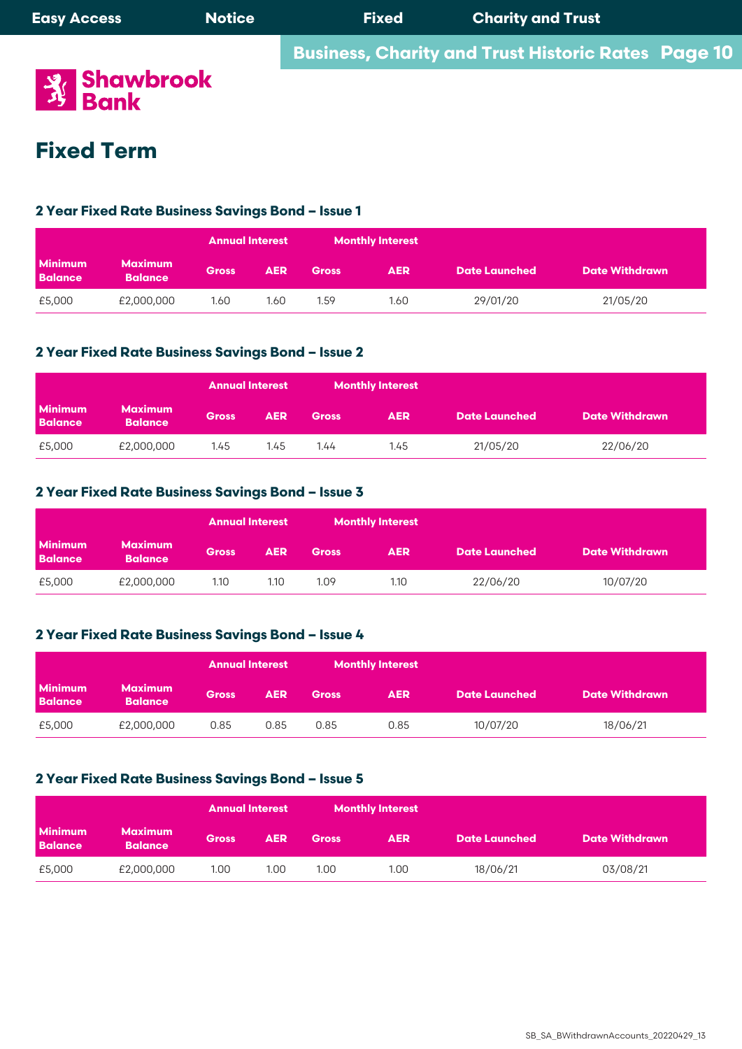**Business, Charity and Trust Historic Rates Page 10** 



# **Fixed Term**

#### **1 Year Fixed Rate Business Savings Bond – Issue 6 2 Year Fixed Rate Business Savings Bond – Issue 1**

|                                  |                                  | <b>Annual Interest</b> |            | <b>Monthly Interest</b> |            |                      |                       |
|----------------------------------|----------------------------------|------------------------|------------|-------------------------|------------|----------------------|-----------------------|
| <b>Minimum</b><br><b>Balance</b> | <b>Maximum</b><br><b>Balance</b> | <b>Gross</b>           | <b>AER</b> | <b>Gross</b>            | <b>AER</b> | <b>Date Launched</b> | <b>Date Withdrawn</b> |
| £5,000                           | £2,000,000                       | 1.60                   | 1.60       | 1.59                    | 1.60       | 29/01/20             | 21/05/20              |

# 2 Year Fixed Rate Business Savings Bond – Issue 2

|                                  |                                  | <b>Annual Interest</b> |            |              | <b>Monthly Interest</b> |               |                       |
|----------------------------------|----------------------------------|------------------------|------------|--------------|-------------------------|---------------|-----------------------|
| <b>Minimum</b><br><b>Balance</b> | <b>Maximum</b><br><b>Balance</b> | <b>Gross</b>           | <b>AER</b> | <b>Gross</b> | <b>AER</b>              | Date Launched | <b>Date Withdrawn</b> |
| £5,000                           | £2,000,000                       | 1.45                   | 1.45       | 1.44         | 1.45                    | 21/05/20      | 22/06/20              |

## 2 Year Fixed Rate Business Savings Bond – Issue 3

|                                  |                                  | <b>Annual Interest</b> |            |              | <b>Monthly Interest</b> |                      |                       |
|----------------------------------|----------------------------------|------------------------|------------|--------------|-------------------------|----------------------|-----------------------|
| <b>Minimum</b><br><b>Balance</b> | <b>Maximum</b><br><b>Balance</b> | <b>Gross</b>           | <b>AER</b> | <b>Gross</b> | <b>AER</b>              | <b>Date Launched</b> | <b>Date Withdrawn</b> |
| £5,000                           | £2,000,000                       | 1.10                   | 1.10       | 1.09         | 1.10                    | 22/06/20             | 10/07/20              |

## **2 Year Fixed Rate Business Savings Bond – Issue 4**

|                                  |                                  | <b>Annual Interest</b> |            | <b>Monthly Interest</b> |            |                      |                       |  |
|----------------------------------|----------------------------------|------------------------|------------|-------------------------|------------|----------------------|-----------------------|--|
| <b>Minimum</b><br><b>Balance</b> | <b>Maximum</b><br><b>Balance</b> | <b>Gross</b>           | <b>AER</b> | <b>Gross</b>            | <b>AER</b> | <b>Date Launched</b> | <b>Date Withdrawn</b> |  |
| £5,000                           | £2,000,000                       | 0.85                   | 0.85       | 0.85                    | 0.85       | 10/07/20             | 18/06/21              |  |

# 2 Year Fixed Rate Business Savings Bond <mark>–</mark> Issue 5

|                                  |                                  | <b>Monthly Interest</b><br><b>Annual Interest</b> |            |              |            |                      |                       |  |
|----------------------------------|----------------------------------|---------------------------------------------------|------------|--------------|------------|----------------------|-----------------------|--|
| <b>Minimum</b><br><b>Balance</b> | <b>Maximum</b><br><b>Balance</b> | <b>Gross</b>                                      | <b>AER</b> | <b>Gross</b> | <b>AER</b> | <b>Date Launched</b> | <b>Date Withdrawn</b> |  |
| £5,000                           | £2,000,000                       | 1.00                                              | 1.00       | 1.00         | 1.00       | 18/06/21             | 03/08/21              |  |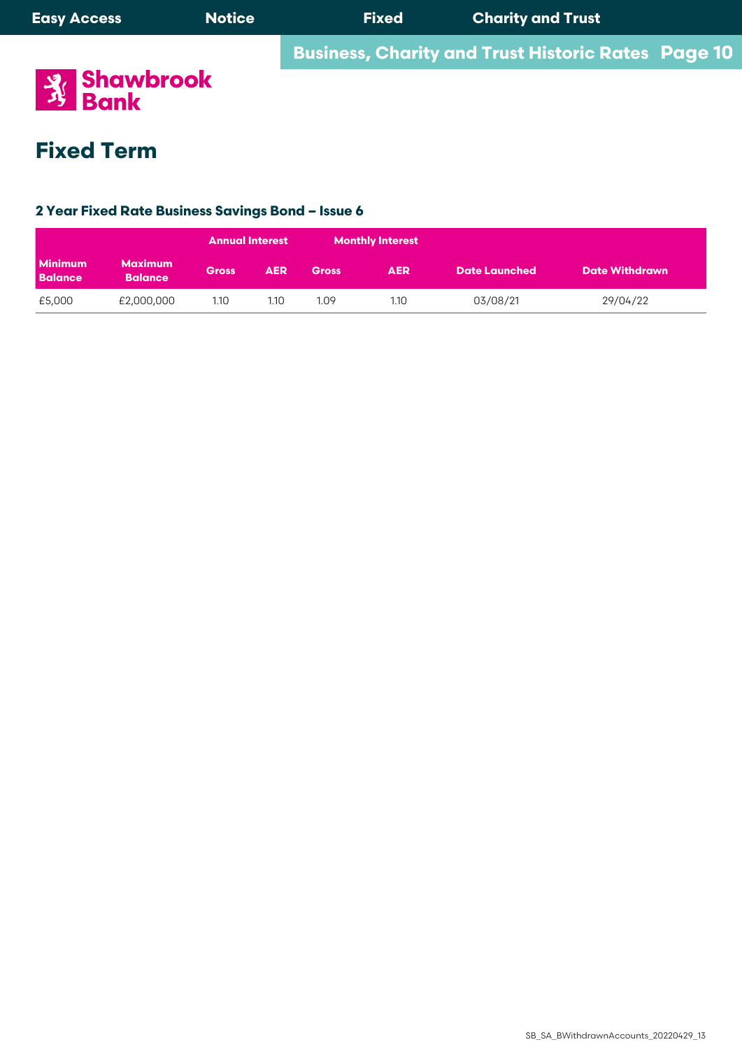

# **Fixed Term**

#### **1 Year Fixed Rate Business Savings Bond – Issue 6 2 Year Fixed Rate Business Savings Bond – Issue 6**

| <b>Minimum</b><br><b>Balance</b> |                                  | <b>Annual Interest</b> |            | <b>Monthly Interest</b> |            |               |                       |
|----------------------------------|----------------------------------|------------------------|------------|-------------------------|------------|---------------|-----------------------|
|                                  | <b>Maximum</b><br><b>Balance</b> | <b>Gross</b>           | <b>AER</b> | <b>Gross</b>            | <b>AER</b> | Date Launched | <b>Date Withdrawn</b> |
| £5,000                           | £2,000,000                       | 1.10                   | 1.10       | 1.09                    | 1.10       | 03/08/21      | 29/04/22              |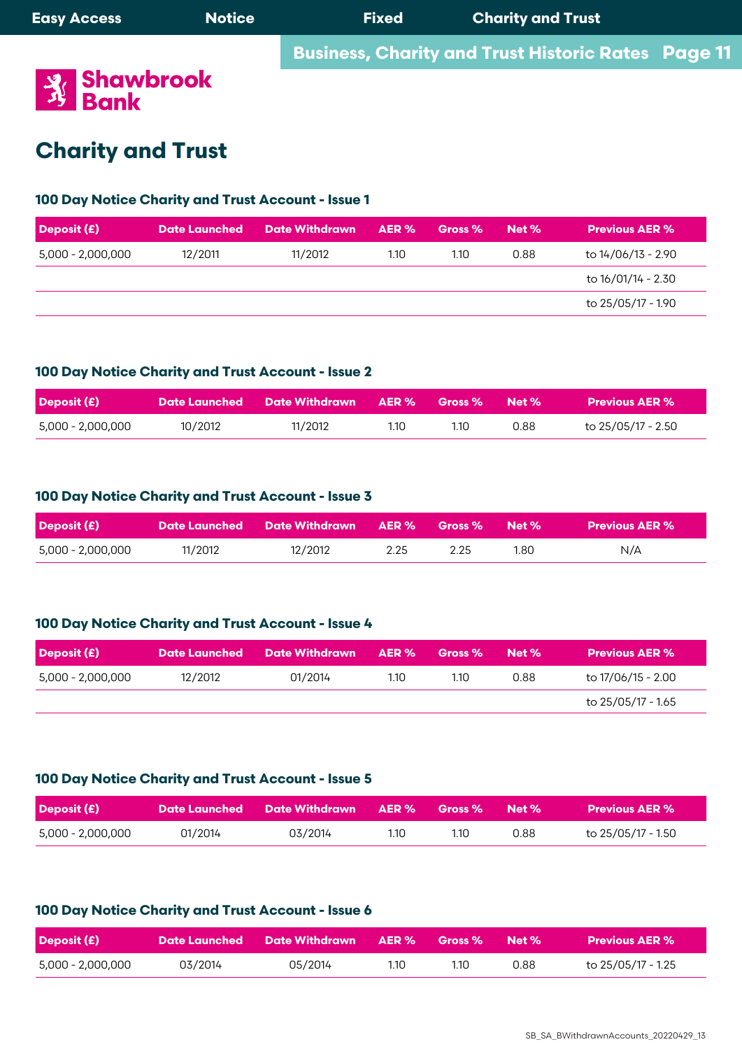#### **Charity and Trust Expansion of the Second Line Charity and Trust** 5,000 - 2,000,000 12/2011 11/2012 1.10 1.10 0.88 to 14/06/13 - 2.90  $\bullet$  is variable and may be altered in accordance with our terms and conditions  $\bullet$

# **100 Day Notice Charity and Trust Account - Issue 1**

**100 Day Notice Charity and Trust Account - Issue 1**

| Deposit (£)       | <b>Date Launched</b> | <b>Date Withdrawn</b> | AER % | Gross % | Net % | <b>Previous AER %</b> |
|-------------------|----------------------|-----------------------|-------|---------|-------|-----------------------|
| 5,000 - 2,000,000 | 12/2011              | 11/2012               | 1.10  | 1.10    | 0.88  | to 14/06/13 - 2.90    |
|                   |                      |                       |       |         |       | to 16/01/14 - 2.30    |
|                   |                      |                       |       |         |       | to 25/05/17 - 1.90    |

### $A = \begin{bmatrix} 1 & 1 \\ 1 & 1 \end{bmatrix}$ 100 Day Notice Charity and Trust Account - Issue 2

| Deposit (£)       |         | Date Launched        Date Withdrawn       AER %       Gross %        Net % |      |      |      | <b>Previous AER %</b> |
|-------------------|---------|----------------------------------------------------------------------------|------|------|------|-----------------------|
| 5,000 - 2,000,000 | 10/2012 | 11/2012                                                                    | 1.10 | 1.10 | 0.88 | to 25/05/17 - 2.50    |

# **Deposit (£) Date Launched Date Withdrawn AER % Gross % Net % Previous AER %** Accounts. 100 Day Notice Charity and Trust Account - Issue 3

| <b>Deposit (£)</b> |         | 「Date Launched Pate Withdrawn AER % Gross % Net %」 |      |      |      | Previous AER $\%$ $^{\dagger}$ |
|--------------------|---------|----------------------------------------------------|------|------|------|--------------------------------|
| 5,000 - 2,000,000  | 11/2012 | 12/2012                                            | 2.25 | 2.25 | 1.80 | N/A                            |

# 100 Day Notice Charity and Trust Account - Issue 4

| Deposit (£)       |         | Date Launched Date Withdrawn AER % |      | <b>Gross</b> % | Met % | Previous AER % '   |
|-------------------|---------|------------------------------------|------|----------------|-------|--------------------|
| 5,000 - 2,000,000 | 12/2012 | 01/2014                            | 1.10 | 1.10           | 0.88  | to 17/06/15 - 2.00 |
|                   |         |                                    |      |                |       | to 25/05/17 - 1.65 |

### 100 Day Notice Charity and Trust Account - Issue 5 from the interest rate is variable and may be altered in accordance with our terms and conditions  $\frac{1}{2}$

| <b>Deposit (£)</b> |         | <b>Date Launched Date Withdrawn AER % Gross % Net %</b> |      |      |      | Previous AER % \   |
|--------------------|---------|---------------------------------------------------------|------|------|------|--------------------|
| 5,000 - 2,000,000  | 01/2014 | 03/2014                                                 | 1.10 | 1.10 | 0.88 | to 25/05/17 - 1.50 |

## 100 Day Notice Charity and Trust Account - Issue 6 shawbrook.co.uk

| <b>Deposit (£)</b> |         | Date Launched Date Withdrawn AER % |      | $\blacksquare$ Gross % Net % $\blacksquare$ |      | Previous AER %     |
|--------------------|---------|------------------------------------|------|---------------------------------------------|------|--------------------|
| 5,000 - 2,000,000  | 03/2014 | 05/2014                            | 1.10 | 1.10                                        | 0.88 | to 25/05/17 - 1.25 |